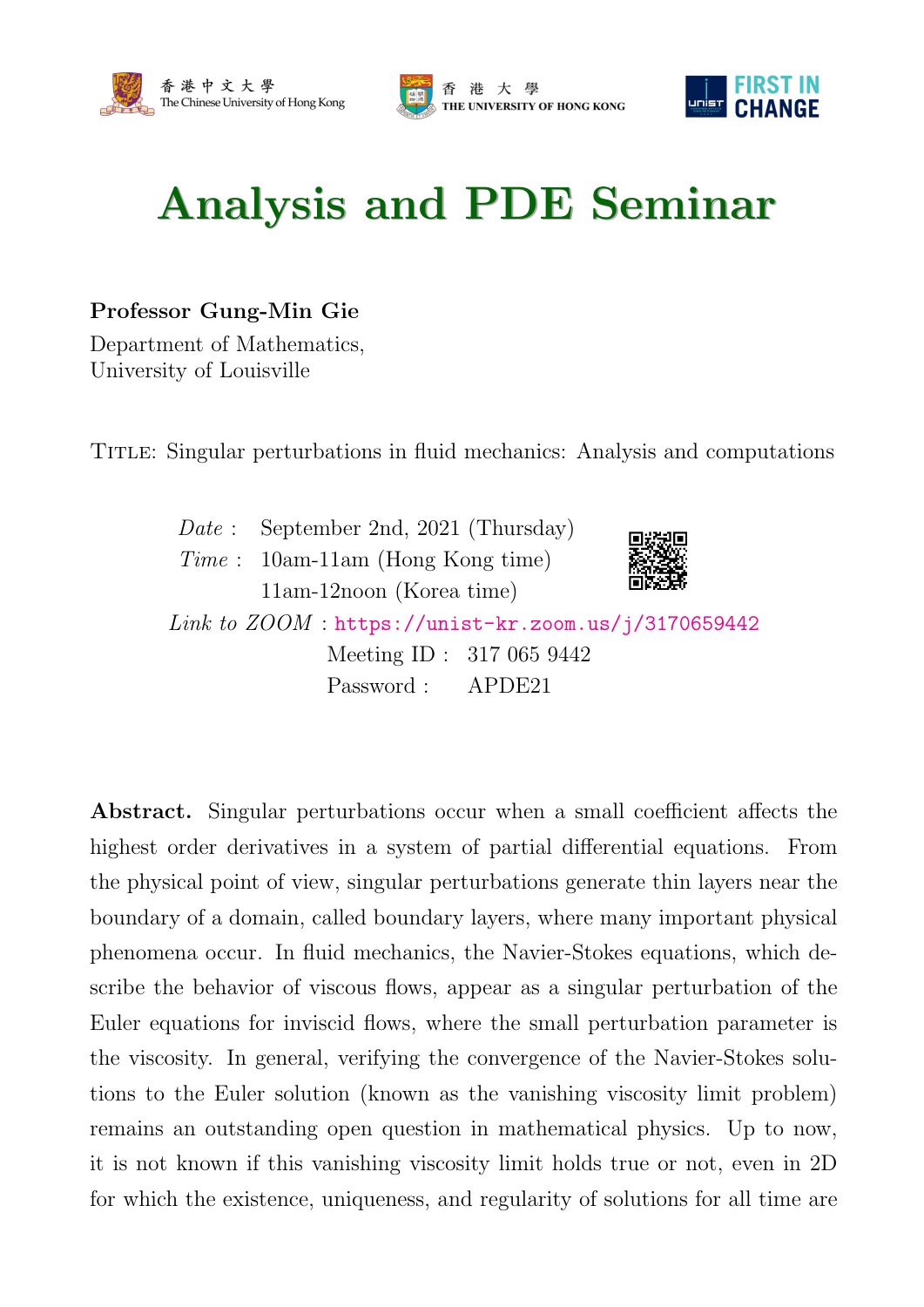





## Analysis and PDE Seminar

## Professor Gung-Min Gie

Department of Mathematics, University of Louisville

Title: Singular perturbations in fluid mechanics: Analysis and computations

Date: September 2nd, 2021 (Thursday) Time : 10am-11am (Hong Kong time) 11am-12noon (Korea time)



Link to  $ZOOM$ : <https://unist-kr.zoom.us/j/3170659442> Meeting ID : 317 065 9442 Password : APDE21

Abstract. Singular perturbations occur when a small coefficient affects the highest order derivatives in a system of partial differential equations. From the physical point of view, singular perturbations generate thin layers near the boundary of a domain, called boundary layers, where many important physical phenomena occur. In fluid mechanics, the Navier-Stokes equations, which describe the behavior of viscous flows, appear as a singular perturbation of the Euler equations for inviscid flows, where the small perturbation parameter is the viscosity. In general, verifying the convergence of the Navier-Stokes solutions to the Euler solution (known as the vanishing viscosity limit problem) remains an outstanding open question in mathematical physics. Up to now, it is not known if this vanishing viscosity limit holds true or not, even in 2D for which the existence, uniqueness, and regularity of solutions for all time are